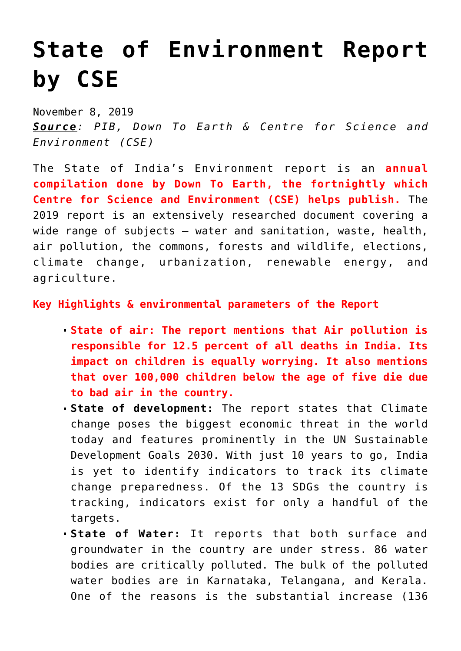## **[State of Environment Report](https://journalsofindia.com/state-of-environment-report-by-cse/) [by CSE](https://journalsofindia.com/state-of-environment-report-by-cse/)**

November 8, 2019 *Source: PIB, Down To Earth & Centre for Science and Environment (CSE)*

The State of India's Environment report is an **annual compilation done by Down To Earth, the fortnightly which Centre for Science and Environment (CSE) helps publish.** The 2019 report is an extensively researched document covering a wide range of subjects – water and sanitation, waste, health, air pollution, the commons, forests and wildlife, elections, climate change, urbanization, renewable energy, and agriculture.

## **Key Highlights & environmental parameters of the Report**

- **State of air: The report mentions that Air pollution is responsible for 12.5 percent of all deaths in India. Its impact on children is equally worrying. It also mentions that over 100,000 children below the age of five die due to bad air in the country.**
- **State of development:** The report states that Climate change poses the biggest economic threat in the world today and features prominently in the UN Sustainable Development Goals 2030. With just 10 years to go, India is yet to identify indicators to track its climate change preparedness. Of the 13 SDGs the country is tracking, indicators exist for only a handful of the targets.
- **State of Water:** It reports that both surface and groundwater in the country are under stress. 86 water bodies are critically polluted. The bulk of the polluted water bodies are in Karnataka, Telangana, and Kerala. One of the reasons is the substantial increase (136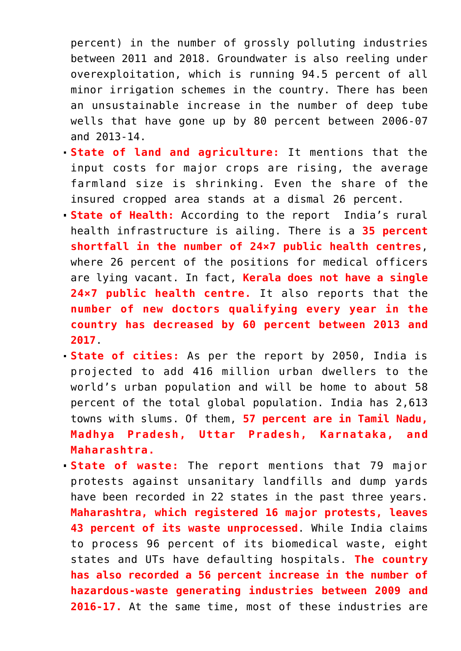percent) in the number of grossly polluting industries between 2011 and 2018. Groundwater is also reeling under overexploitation, which is running 94.5 percent of all minor irrigation schemes in the country. There has been an unsustainable increase in the number of deep tube wells that have gone up by 80 percent between 2006-07 and 2013-14.

- **State of land and agriculture:** It mentions that the input costs for major crops are rising, the average farmland size is shrinking. Even the share of the insured cropped area stands at a dismal 26 percent.
- **State of Health:** According to the report India's rural health infrastructure is ailing. There is a **35 percent shortfall in the number of 24×7 public health centres**, where 26 percent of the positions for medical officers are lying vacant. In fact, **Kerala does not have a single 24×7 public health centre.** It also reports that the **number of new doctors qualifying every year in the country has decreased by 60 percent between 2013 and 2017**.
- **State of cities:** As per the report by 2050, India is projected to add 416 million urban dwellers to the world's urban population and will be home to about 58 percent of the total global population. India has 2,613 towns with slums. Of them, **57 percent are in Tamil Nadu, Madhya Pradesh, Uttar Pradesh, Karnataka, and Maharashtra.**
- **State of waste:** The report mentions that 79 major protests against unsanitary landfills and dump yards have been recorded in 22 states in the past three years. **Maharashtra, which registered 16 major protests, leaves 43 percent of its waste unprocessed**. While India claims to process 96 percent of its biomedical waste, eight states and UTs have defaulting hospitals. **The country has also recorded a 56 percent increase in the number of hazardous-waste generating industries between 2009 and 2016-17.** At the same time, most of these industries are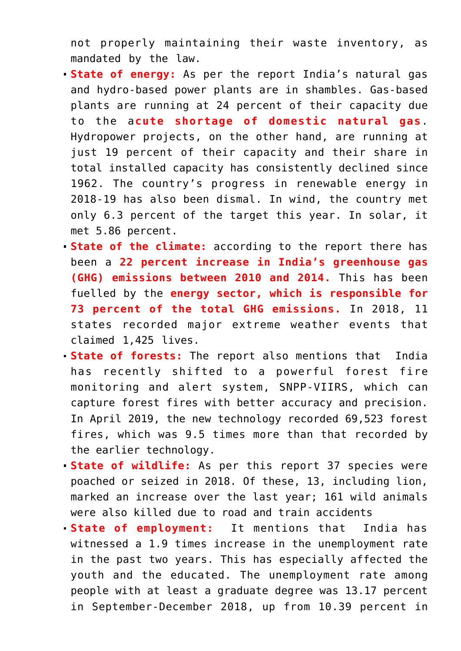not properly maintaining their waste inventory, as mandated by the law.

- **State of energy:** As per the report India's natural gas and hydro-based power plants are in shambles. Gas-based plants are running at 24 percent of their capacity due to the a**cute shortage of domestic natural gas**. Hydropower projects, on the other hand, are running at just 19 percent of their capacity and their share in total installed capacity has consistently declined since 1962. The country's progress in renewable energy in 2018-19 has also been dismal. In wind, the country met only 6.3 percent of the target this year. In solar, it met 5.86 percent.
- **State of the climate:** according to the report there has been a **22 percent increase in India's greenhouse gas (GHG) emissions between 2010 and 2014.** This has been fuelled by the **energy sector, which is responsible for 73 percent of the total GHG emissions.** In 2018, 11 states recorded major extreme weather events that claimed 1,425 lives.
- **State of forests:** The report also mentions that India has recently shifted to a powerful forest fire monitoring and alert system, SNPP-VIIRS, which can capture forest fires with better accuracy and precision. In April 2019, the new technology recorded 69,523 forest fires, which was 9.5 times more than that recorded by the earlier technology.
- **State of wildlife:** As per this report 37 species were poached or seized in 2018. Of these, 13, including lion, marked an increase over the last year; 161 wild animals were also killed due to road and train accidents
- **State of employment:** It mentions thatIndia has witnessed a 1.9 times increase in the unemployment rate in the past two years. This has especially affected the youth and the educated. The unemployment rate among people with at least a graduate degree was 13.17 percent in September-December 2018, up from 10.39 percent in